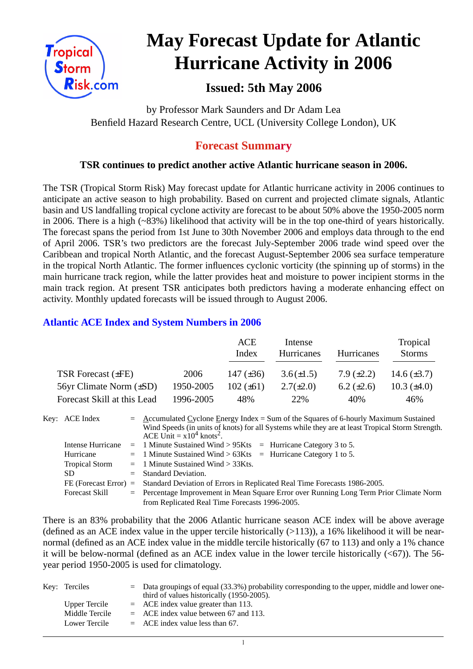

# **May Forecast Update for Atlantic Hurricane Activity in 2006**

# **Issued: 5th May 2006**

by Professor Mark Saunders and Dr Adam Lea Benfield Hazard Research Centre, UCL (University College London), UK

## **Forecast Summary**

#### **TSR continues to predict another active Atlantic hurricane season in 2006.**

The TSR (Tropical Storm Risk) May forecast update for Atlantic hurricane activity in 2006 continues to anticipate an active season to high probability. Based on current and projected climate signals, Atlantic basin and US landfalling tropical cyclone activity are forecast to be about 50% above the 1950-2005 norm in 2006. There is a high (~83%) likelihood that activity will be in the top one-third of years historically. The forecast spans the period from 1st June to 30th November 2006 and employs data through to the end of April 2006. TSR's two predictors are the forecast July-September 2006 trade wind speed over the Caribbean and tropical North Atlantic, and the forecast August-September 2006 sea surface temperature in the tropical North Atlantic. The former influences cyclonic vorticity (the spinning up of storms) in the main hurricane track region, while the latter provides heat and moisture to power incipient storms in the main track region. At present TSR anticipates both predictors having a moderate enhancing effect on activity. Monthly updated forecasts will be issued through to August 2006.

#### **Atlantic ACE Index and System Numbers in 2006**

|                              |           | ACE<br>Index   | Intense<br>Hurricanes | Hurricanes        | Tropical<br><b>Storms</b> |
|------------------------------|-----------|----------------|-----------------------|-------------------|---------------------------|
| TSR Forecast $(\pm FE)$      | 2006      | 147 $(\pm 36)$ | $3.6(\pm 1.5)$        | $7.9 \ (\pm 2.2)$ | 14.6 $(\pm 3.7)$          |
| 56yr Climate Norm $(\pm SD)$ | 1950-2005 | $102 (\pm 61)$ | $2.7(\pm 2.0)$        | 6.2 $(\pm 2.6)$   | 10.3 $(\pm 4.0)$          |
| Forecast Skill at this Lead  | 1996-2005 | 48%            | 22%                   | 40%               | 46%                       |

| Key: ACE Index           | $=$ Accumulated Cyclone Energy Index = Sum of the Squares of 6-hourly Maximum Sustained<br>Wind Speeds (in units of knots) for all Systems while they are at least Tropical Storm Strength.<br>ACE Unit = $x10^4$ knots <sup>2</sup> . |
|--------------------------|----------------------------------------------------------------------------------------------------------------------------------------------------------------------------------------------------------------------------------------|
| <b>Intense Hurricane</b> | $=$ 1 Minute Sustained Wind > 95Kts $=$ Hurricane Category 3 to 5.                                                                                                                                                                     |
| Hurricane                | $=$ 1 Minute Sustained Wind > 63Kts $=$ Hurricane Category 1 to 5.                                                                                                                                                                     |
| <b>Tropical Storm</b>    | $=$ 1 Minute Sustained Wind $>$ 33Kts.                                                                                                                                                                                                 |
| SD.                      | $=$ Standard Deviation.                                                                                                                                                                                                                |
|                          | FE (Forecast Error) = Standard Deviation of Errors in Replicated Real Time Forecasts 1986-2005.                                                                                                                                        |
| <b>Forecast Skill</b>    | = Percentage Improvement in Mean Square Error over Running Long Term Prior Climate Norm                                                                                                                                                |
|                          | from Replicated Real Time Forecasts 1996-2005.                                                                                                                                                                                         |

There is an 83% probability that the 2006 Atlantic hurricane season ACE index will be above average (defined as an ACE index value in the upper tercile historically  $(>113)$ ), a 16% likelihood it will be nearnormal (defined as an ACE index value in the middle tercile historically (67 to 113) and only a 1% chance it will be below-normal (defined as an ACE index value in the lower tercile historically  $( $67$ )$ ). The 56year period 1950-2005 is used for climatology.

| Key: Terciles  | $=$ Data groupings of equal (33.3%) probability corresponding to the upper, middle and lower one-<br>third of values historically (1950-2005). |
|----------------|------------------------------------------------------------------------------------------------------------------------------------------------|
| Upper Tercile  | $=$ ACE index value greater than 113.                                                                                                          |
| Middle Tercile | $=$ ACE index value between 67 and 113.                                                                                                        |
| Lower Tercile  | $=$ ACE index value less than 67.                                                                                                              |
|                |                                                                                                                                                |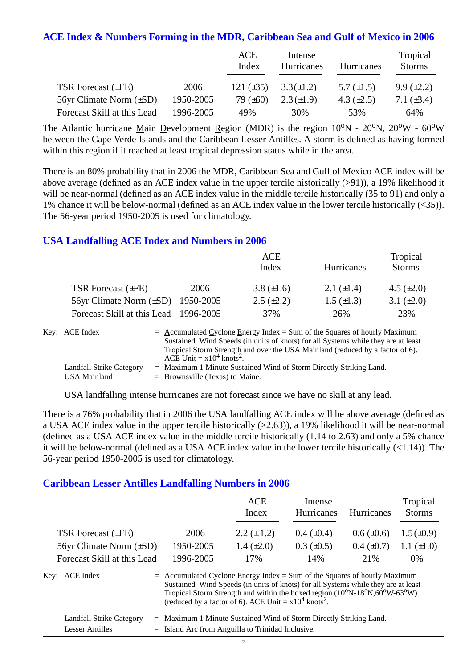#### **ACE Index & Numbers Forming in the MDR, Caribbean Sea and Gulf of Mexico in 2006**

|                              |           | ACE<br>Index   | Intense<br>Hurricanes | Hurricanes      | Tropical<br><b>Storms</b> |
|------------------------------|-----------|----------------|-----------------------|-----------------|---------------------------|
| <b>TSR Forecast (±FE)</b>    | 2006      | 121 $(\pm 35)$ | $3.3(\pm 1.2)$        | 5.7 $(\pm 1.5)$ | $9.9 \ (\pm 2.2)$         |
| 56yr Climate Norm $(\pm SD)$ | 1950-2005 | 79 $(\pm 60)$  | $2.3(\pm 1.9)$        | 4.3 $(\pm 2.5)$ | 7.1 $(\pm 3.4)$           |
| Forecast Skill at this Lead  | 1996-2005 | 49%            | 30%                   | 53%             | 64%                       |

The Atlantic hurricane Main Development Region (MDR) is the region  $10^{\circ}N - 20^{\circ}N$ ,  $20^{\circ}W - 60^{\circ}W$ between the Cape Verde Islands and the Caribbean Lesser Antilles. A storm is defined as having formed within this region if it reached at least tropical depression status while in the area.

There is an 80% probability that in 2006 the MDR, Caribbean Sea and Gulf of Mexico ACE index will be above average (defined as an ACE index value in the upper tercile historically (>91)), a 19% likelihood it will be near-normal (defined as an ACE index value in the middle tercile historically (35 to 91) and only a 1% chance it will be below-normal (defined as an ACE index value in the lower tercile historically (<35)). The 56-year period 1950-2005 is used for climatology.

#### **USA Landfalling ACE Index and Numbers in 2006**

|                                        |      | ACE<br>Index      | Hurricanes        | Tropical<br><b>Storms</b> |
|----------------------------------------|------|-------------------|-------------------|---------------------------|
| TSR Forecast $(\pm FE)$                | 2006 | 3.8 $(\pm 1.6)$   | 2.1 $(\pm 1.4)$   | 4.5 $(\pm 2.0)$           |
| 56yr Climate Norm $(\pm SD)$ 1950-2005 |      | $2.5 \ (\pm 2.2)$ | $1.5 \ (\pm 1.3)$ | 3.1 $(\pm 2.0)$           |
| Forecast Skill at this Lead 1996-2005  |      | 37%               | 26%               | 23%                       |

| Key: ACE Index           | $=$ Accumulated Cyclone Energy Index = Sum of the Squares of hourly Maximum       |
|--------------------------|-----------------------------------------------------------------------------------|
|                          | Sustained Wind Speeds (in units of knots) for all Systems while they are at least |
|                          | Tropical Storm Strength and over the USA Mainland (reduced by a factor of 6).     |
|                          | ACE Unit = $x10^4$ knots <sup>2</sup> .                                           |
| Landfall Strike Category | $=$ Maximum 1 Minute Sustained Wind of Storm Directly Striking Land.              |
| USA Mainland             | $=$ Brownsville (Texas) to Maine.                                                 |

USA landfalling intense hurricanes are not forecast since we have no skill at any lead.

There is a 76% probability that in 2006 the USA landfalling ACE index will be above average (defined as a USA ACE index value in the upper tercile historically (>2.63)), a 19% likelihood it will be near-normal (defined as a USA ACE index value in the middle tercile historically (1.14 to 2.63) and only a 5% chance it will be below-normal (defined as a USA ACE index value in the lower tercile historically (<1.14)). The 56-year period 1950-2005 is used for climatology.

#### **Caribbean Lesser Antilles Landfalling Numbers in 2006**

|                                |                                                                             | ACE<br>Index                                                                                                                                                                                                                                                     | Intense<br><b>Hurricanes</b> | Hurricanes      | Tropical<br><b>Storms</b> |
|--------------------------------|-----------------------------------------------------------------------------|------------------------------------------------------------------------------------------------------------------------------------------------------------------------------------------------------------------------------------------------------------------|------------------------------|-----------------|---------------------------|
| TSR Forecast $(\pm FE)$        | 2006                                                                        | $2.2 (\pm 1.2)$                                                                                                                                                                                                                                                  | $0.4~(\pm 0.4)$              | $0.6 (\pm 0.6)$ | $1.5(\pm 0.9)$            |
| $56yr$ Climate Norm $(\pm SD)$ | 1950-2005                                                                   | 1.4 $(\pm 2.0)$                                                                                                                                                                                                                                                  | $0.3 \ (\pm 0.5)$            | $0.4~(\pm 0.7)$ | 1.1 $(\pm 1.0)$           |
| Forecast Skill at this Lead    | 1996-2005                                                                   | 17%                                                                                                                                                                                                                                                              | 14%                          | 21%             | $0\%$                     |
| Key: ACE Index                 | $=$ Accumulated Cyclone Energy Index = Sum of the Squares of hourly Maximum | Sustained Wind Speeds (in units of knots) for all Systems while they are at least<br>Tropical Storm Strength and within the boxed region $(10^{\circ}N-18^{\circ}N,60^{\circ}W-63^{\circ}W)$ (reduced by a factor of 6). ACE Unit = $x10^4$ knots <sup>2</sup> . |                              |                 |                           |

|                 | Landfall Strike Category = Maximum 1 Minute Sustained Wind of Storm Directly Striking Land. |
|-----------------|---------------------------------------------------------------------------------------------|
| Lesser Antilles | $=$ Island Arc from Anguilla to Trinidad Inclusive.                                         |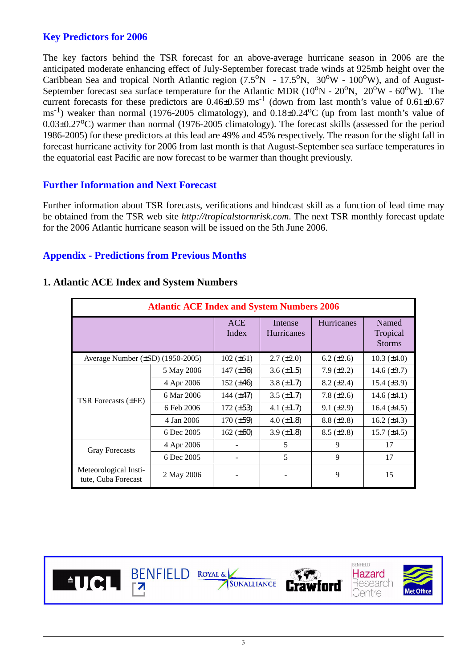### **Key Predictors for 2006**

The key factors behind the TSR forecast for an above-average hurricane season in 2006 are the anticipated moderate enhancing effect of July-September forecast trade winds at 925mb height over the Caribbean Sea and tropical North Atlantic region  $(7.5^{\circ}N - 17.5^{\circ}N, 30^{\circ}W - 100^{\circ}W)$ , and of August-September forecast sea surface temperature for the Atlantic MDR  $(10^{\circ}N - 20^{\circ}N, 20^{\circ}W - 60^{\circ}W)$ . The current forecasts for these predictors are  $0.46\pm0.59$  ms<sup>-1</sup> (down from last month's value of  $0.61\pm0.67$ )  $\text{ms}^{-1}$ ) weaker than normal (1976-2005 climatology), and 0.18 $\pm$ 0.24<sup>o</sup>C (up from last month's value of  $0.03\pm0.27^{\circ}$ C) warmer than normal (1976-2005 climatology). The forecast skills (assessed for the period 1986-2005) for these predictors at this lead are 49% and 45% respectively. The reason for the slight fall in forecast hurricane activity for 2006 from last month is that August-September sea surface temperatures in the equatorial east Pacific are now forecast to be warmer than thought previously.

#### **Further Information and Next Forecast**

Further information about TSR forecasts, verifications and hindcast skill as a function of lead time may be obtained from the TSR web site *http://tropicalstormrisk.com*. The next TSR monthly forecast update for the 2006 Atlantic hurricane season will be issued on the 5th June 2006.

#### **Appendix - Predictions from Previous Months**

|                                              | <b>Atlantic ACE Index and System Numbers 2006</b> |                     |                       |                   |                                    |
|----------------------------------------------|---------------------------------------------------|---------------------|-----------------------|-------------------|------------------------------------|
|                                              |                                                   | <b>ACE</b><br>Index | Intense<br>Hurricanes | Hurricanes        | Named<br>Tropical<br><b>Storms</b> |
| Average Number $(\pm SD)$ (1950-2005)        |                                                   | $102 (\pm 61)$      | $2.7 (\pm 2.0)$       | $6.2 \ (\pm 2.6)$ | $10.3 \ (\pm 4.0)$                 |
|                                              | 5 May 2006                                        | 147 $(\pm 36)$      | $3.6 \, (\pm 1.5)$    | $7.9 \ (\pm 2.2)$ | 14.6 $(\pm 3.7)$                   |
|                                              | 4 Apr 2006                                        | 152 $(\pm 46)$      | 3.8 $(\pm 1.7)$       | $8.2 (\pm 2.4)$   | 15.4 $(\pm 3.9)$                   |
| <b>TSR Forecasts (±FE)</b>                   | 6 Mar 2006                                        | 144 $(\pm 47)$      | $3.5 \ (\pm 1.7)$     | 7.8 $(\pm 2.6)$   | 14.6 $(\pm 4.1)$                   |
|                                              | 6 Feb 2006                                        | $172 (\pm 53)$      | 4.1 $(\pm 1.7)$       | $9.1 (\pm 2.9)$   | 16.4 $(\pm 4.5)$                   |
|                                              | 4 Jan 2006                                        | $170 (\pm 59)$      | $4.0 \ (\pm 1.8)$     | $8.8 (\pm 2.8)$   | 16.2 $(\pm 4.3)$                   |
|                                              | 6 Dec 2005                                        | 162 $(\pm 60)$      | 3.9 $(\pm 1.8)$       | $8.5 (\pm 2.8)$   | 15.7 $(\pm 4.5)$                   |
| <b>Gray Forecasts</b>                        | 4 Apr 2006                                        |                     | 5                     | 9                 | 17                                 |
|                                              | 6 Dec 2005                                        |                     | 5                     | 9                 | 17                                 |
| Meteorological Insti-<br>tute, Cuba Forecast | 2 May 2006                                        |                     |                       | 9                 | 15                                 |

#### **1. Atlantic ACE Index and System Numbers**